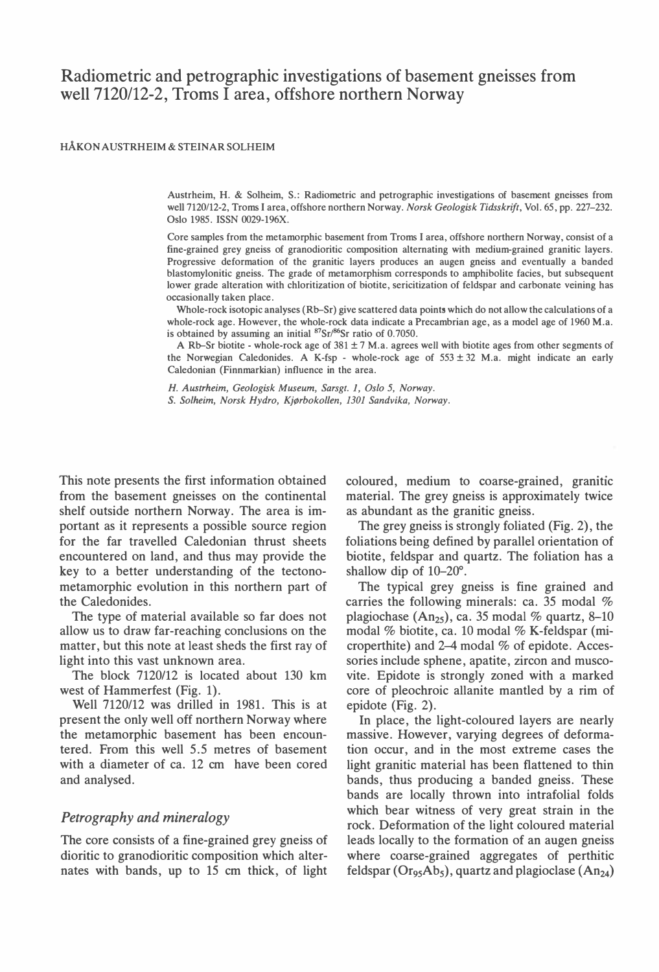# Radiometric and petrographic investigations of basement gneisses from well 7120/12-2, Troms I area, offshore northern Norway

#### HÅKON AUSTRHEIM & STEINAR SOLHEIM

Austrheim, H. & Solheim, S.: Radiometric and petrographic investigations of basement gneisses from we11 7120/12-2, Troms I area, offshore northern Norway. Norsk Geologisk Tidsskrift, Vol. 65, pp. 227-232. Oslo 1985. ISSN 0029-196X.

Core samples from the metamorphic basement from Troms I area, offshore northern Norway, consist of a fine-grained grey gneiss of granodioritic composition alternating with medium-grained granitic layers. Progressive deformation of the granitic layers produces an augen gneiss and eventually a banded blastomylonitic gneiss. The grade of metamorphism corresponds to amphibolite facies, but subsequent lower grade alteration with chloritization of biotite, sericitization of feldspar and carbonate veining has occasionally taken place.

Whole-rock isotopic analyses (Rb-Sr) give scattered data points which do not allow the calculations of a whole-rock age. However, the whole-rock data indicate a Precambrian age, as a model age of 1960 M.a. is obtained by assuming an initial  ${}^{87}Sr/{}^{86}Sr$  ratio of 0.7050.

A Rb-Sr biotite - whole-rock age of  $381 \pm 7$  M.a. agrees well with biotite ages from other segments of the Norwegian Caledonides. A K-fsp - whole-rock age of  $553 \pm 32$  M.a. might indicate an early Caledonian (Finnmarkian) influence in the area.

H. Austrheim, Geologisk Museum, Sarsgt. l, Oslo 5, Norway. S. Solheim, Norsk Hydro, Kjørbokollen, 1301 Sandvika, Norway.

This note presents the first information obtained from the basement gneisses on the continental shelf outside northern Norway. The area is important as it represents a possible source region for the far travelled Caledonian thrust sheets encountered on land, and thus may provide the key to a better understanding of the tectonometamorphic evolution in this northern part of the Caledonides.

The type of material available so far does not allow us to draw far-reaching conclusions on the matter, but this note at least sheds the first ray of light into this vast unknown area.

The block 7120/12 is located about 130 km west of Hammerfest (Fig. 1).

Well 7120/12 was drilled in 1981. This is at present the only well off northern Norway where the metamorphic basement has been encountered. From this well 5.5 metres of basement with a diameter of ca. 12 cm have been cored and analysed.

#### Petrography and mineralogy

The core consists of a fine-grained grey gneiss of dioritic to granodioritic composition which alternates with bands, up to 15 cm thick, of light

coloured, medium to coarse-grained, granitic material. The grey gneiss is approximately twice as abundant as the granitic gneiss.

The grey gneiss is strongly foliated (Fig. 2), the foliations being defined by parallel orientation of biotite, feldspar and quartz. The foliation has a shallow dip of  $10-20^\circ$ .

The typical grey gneiss is fine grained and carries the following minerals: ca. 35 modal % plagiochase  $(An_{25})$ , ca. 35 modal % quartz, 8-10 modal % biotite, ca. 10 modal % K-feldspar (microperthite) and 2-4 modal % of epidote. Accessories include sphene, apatite, zircon and muscovite. Epidote is strongly zoned with a marked core of pleochroic allanite mantled by a rim of epidote (Fig. 2).

In place, the light-coloured layers are nearly massive. However, varying degrees of deformation occur, and in the most extreme cases the light granitic material has been flattened to thin bands, thus producing a banded gneiss. These bands are locally thrown into intrafolial folds which bear witness of very great strain in the rock. Deformation of the light coloured material leads locally to the formation of an augen gneiss where coarse-grained aggregates of perthitic feldspar ( $O_{T95}Ab_5$ ), quartz and plagioclase ( $An_{24}$ )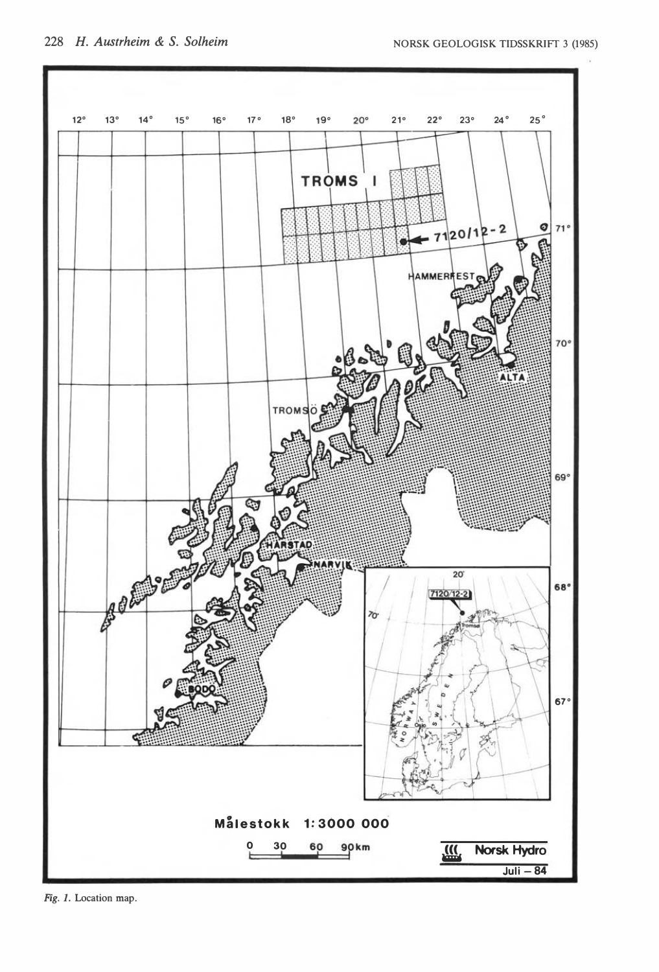

Fig. 1. Location map.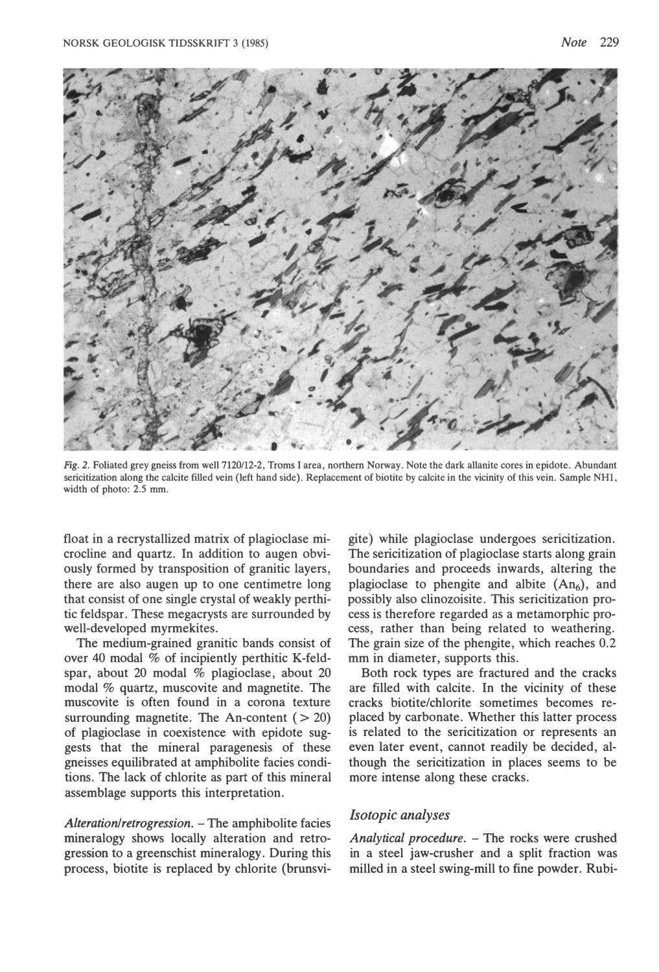

Fig. 2. Foliated grey gneiss from well 7120/12-2, Troms I area, northern Norway. Note the dark allanite cores in epidote. Abundant sericitization along the calcite filled vein (left hand side). Replacement of biotite by calcite in the vicinity of this vein. Sample NH1, width of photo: 2.5 mm.

float in a recrystallized matrix of plagioclase microcline and quartz. In addition to augen obviously formed by transposition of granitic layers, there are also augen up to one centimetre long that consist of one single crystal of weakly perthitic feldspar. These megacrysts are surrounded by well-developed myrmekites.

The medium-grained granitic bands consist of over 40 modal % of incipiently perthitic K-feldspar, about 20 modal % plagioclase, about 20 modal  $%$  quartz, muscovite and magnetite. The muscovite is often found in a corona texture surrounding magnetite. The An-content  $( > 20)$ of plagioclase in coexistence with epidote suggests that the mineral paragenesis of these gneisses equilibrated at amphibolite facies conditions. The lack of chlorite as part of this mineral assemblage supports this interpretation.

 $Alternion/retrogression.$  – The amphibolite facies mineralogy shows locally alteration and retrogression to a greenschist mineralogy. During this process, biotite is replaced by chlorite (brunsvi-

gite) while plagioclase undergoes sericitization. The sericitization of plagioclase starts along grain boundaries and proceeds inwards, altering the plagioclase to phengite and albite  $(An<sub>6</sub>)$ , and possibly also clinozoisite. This sericitization process is therefore regarded as a metamorphic process, rather than being related to weathering. The grain size of the phengite, which reaches 0.2 mm in diameter, supports this.

Both rock types are fractured and the cracks are filled with calcite. In the vicinity of these cracks biotite/chlorite sometimes becomes replaced by carbonate. Whether this latter process is related to the sericitization or represents an even later event, cannot readily be decided, although the sericitization in places seems to be more intense along these cracks.

#### Isotopic analyses

Analytical procedure.  $-$  The rocks were crushed in a steel jaw-crusher and a split fraction was milled in a steel swing-mill to fine powder. Rubi-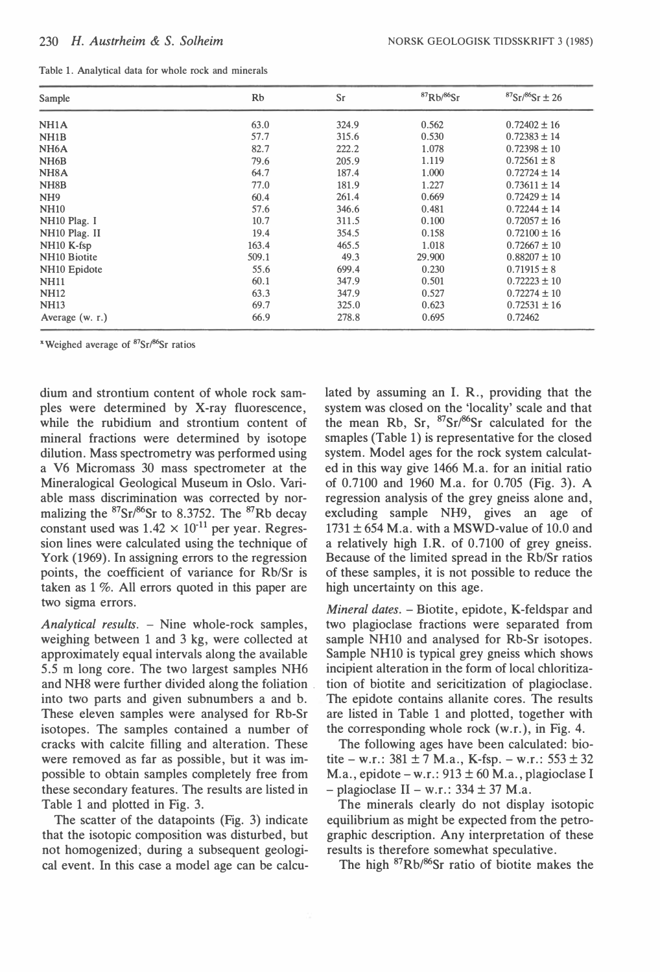|  |  |  |  |  |  |  |  |  |  |  | Table 1. Analytical data for whole rock and minerals |
|--|--|--|--|--|--|--|--|--|--|--|------------------------------------------------------|
|--|--|--|--|--|--|--|--|--|--|--|------------------------------------------------------|

| Sample                    | Rb    | Sr    | ${}^{87}$ Rb/ ${}^{86}$ Sr | $87Sr/86Sr \pm 26$ |
|---------------------------|-------|-------|----------------------------|--------------------|
| NH <sub>1</sub> A         | 63.0  | 324.9 | 0.562                      | $0.72402 \pm 16$   |
| NH <sub>1</sub> B         | 57.7  | 315.6 | 0.530                      | $0.72383 \pm 14$   |
| NH <sub>6</sub> A         | 82.7  | 222.2 | 1.078                      | $0.72398 \pm 10$   |
| NH <sub>6</sub> B         | 79.6  | 205.9 | 1.119                      | $0.72561 \pm 8$    |
| NH <sub>8</sub> A         | 64.7  | 187.4 | 1.000                      | $0.72724 \pm 14$   |
| NH <sub>8</sub> B         | 77.0  | 181.9 | 1.227                      | $0.73611 \pm 14$   |
| NH <sub>9</sub>           | 60.4  | 261.4 | 0.669                      | $0.72429 \pm 14$   |
| <b>NH10</b>               | 57.6  | 346.6 | 0.481                      | $0.72244 \pm 14$   |
| NH <sub>10</sub> Plag. I  | 10.7  | 311.5 | 0.100                      | $0.72057 \pm 16$   |
| NH <sub>10</sub> Plag. II | 19.4  | 354.5 | 0.158                      | $0.72100 \pm 16$   |
| $NH10 K-fsp$              | 163.4 | 465.5 | 1.018                      | $0.72667 \pm 10$   |
| NH <sub>10</sub> Biotite  | 509.1 | 49.3  | 29,900                     | $0.88207 \pm 10$   |
| NH <sub>10</sub> Epidote  | 55.6  | 699.4 | 0.230                      | $0.71915 \pm 8$    |
| <b>NH11</b>               | 60.1  | 347.9 | 0.501                      | $0.72223 \pm 10$   |
| <b>NH12</b>               | 63.3  | 347.9 | 0.527                      | $0.72274 \pm 10$   |
| <b>NH13</b>               | 69.7  | 325.0 | 0.623                      | $0.72531 \pm 16$   |
| Average (w. r.)           | 66.9  | 278.8 | 0.695                      | 0.72462            |

<sup>x</sup> Weighed average of  $87Sr/86Sr$  ratios

dium and strontium content of whole rock samples were determined by X-ray fluorescence, while the rubidium and strontium content of mineral fractions were determined by isotope dilution. Mass spectrometry was performed using a V6 Micromass 30 mass spectrometer at the Mineralogical Geological Museum in Oslo. Variable mass discrimination was corrected by normalizing the  ${}^{87}Sr/{}^{86}Sr$  to 8.3752. The  ${}^{87}Rb$  decay constant used was  $1.42 \times 10^{-11}$  per year. Regression lines were calculated using the technique of York (1969). In assigning errors to the regression points, the coefficient of variance for Rb/Sr is taken as 1 %. All errors quoted in this paper are two sigma errors.

Analytical results.  $-$  Nine whole-rock samples, weighing between l and 3 kg, were collected at approximately equal intervals along the available 5.5 m long core. The two largest samples NH6 and NH8 were further divided along the foliation . into two parts and given subnumbers a and b. These eleven samples were analysed for Rb-Sr isotopes. The samples contained a number of cracks with calcite filling and alteration. These were removed as far as possible, but it was impossible to obtain samples completely free from these secondary features. The results are listed in Table 1 and plotted in Fig. 3.

The scatter of the datapoints (Fig. 3) indicate that the isotopic composition was disturbed, but not homogenized; during a subsequent geological event. In this case a model age can be calculated by assuming an l. R., providing that the system was closed on the 'locality' scale and that the mean Rb, Sr,  $87\text{Sr}/86\text{Sr}$  calculated for the smaples (Table 1) is representative for the closed system. Model ages for the rock system calculated in this way give 1466 M.a. for an initial ratio of 0.7100 and 1960 M.a. for 0.705 (Fig. 3). A regression analysis of the grey gneiss alone and, excluding sample NH9, gives an age of  $1731 \pm 654$  M.a. with a MSWD-value of 10.0 and a relatively high I.R. of  $0.7100$  of grey gneiss. Because of the limited spread in the Rb/Sr ratios of these samples, it is not possible to reduce the high uncertainty on this age.

Mineral dates. - Biotite, epidote, K-feldspar and two plagioclase fractions were separated from sample NH10 and analysed for Rb-Sr isotopes. Sample NHlO is typical grey gneiss which shows incipient alteration in the form of local chloritization of biotite and sericitization of plagioclase. The epidote contains allanite cores. The results are listed in Table l and plotted, together with the corresponding whole rock (w.r. ), in Fig. 4.

The following ages have been calculated: biotite – w.r.:  $381 \pm 7$  M.a., K-fsp. – w.r.:  $553 \pm 32$ M.a., epidote – w.r.:  $913 \pm 60$  M.a., plagioclase I  $-$  plagioclase II – w.r.: 334  $\pm$  37 M.a.

The minerals clearly do not display isotopic equilibrium as might be expected from the petrographic description. Any interpretation of these results is therefore somewhat speculative.

The high <sup>87</sup>Rb/<sup>86</sup>Sr ratio of biotite makes the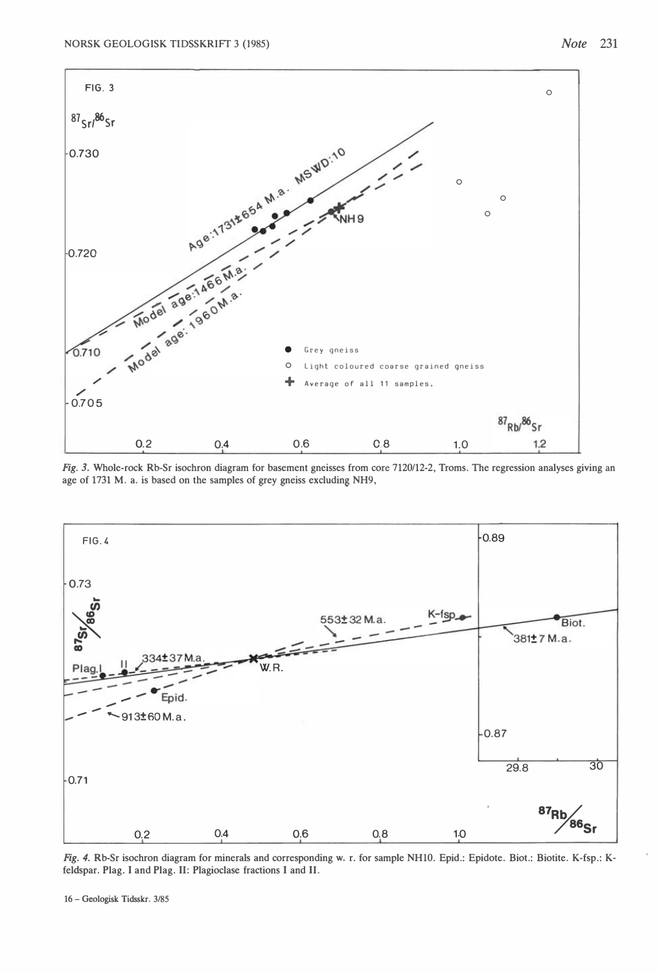

Fig. 3. Whole-rock Rb-Sr isochron diagram for basement gneisses from core 7120/12-2, Troms. The regression analyses giving an age of 1731 M. a. is based on the samples of grey gneiss excluding NH9,



Fig. 4. Rb-Sr isochron diagram for minerals and corresponding w. r. for sample NH10. Epid.: Epidote. Biot.: Biotite. K-fsp.: Kfeldspar. Plag. I and Plag. Il: Plagioclase fractions I and Il.